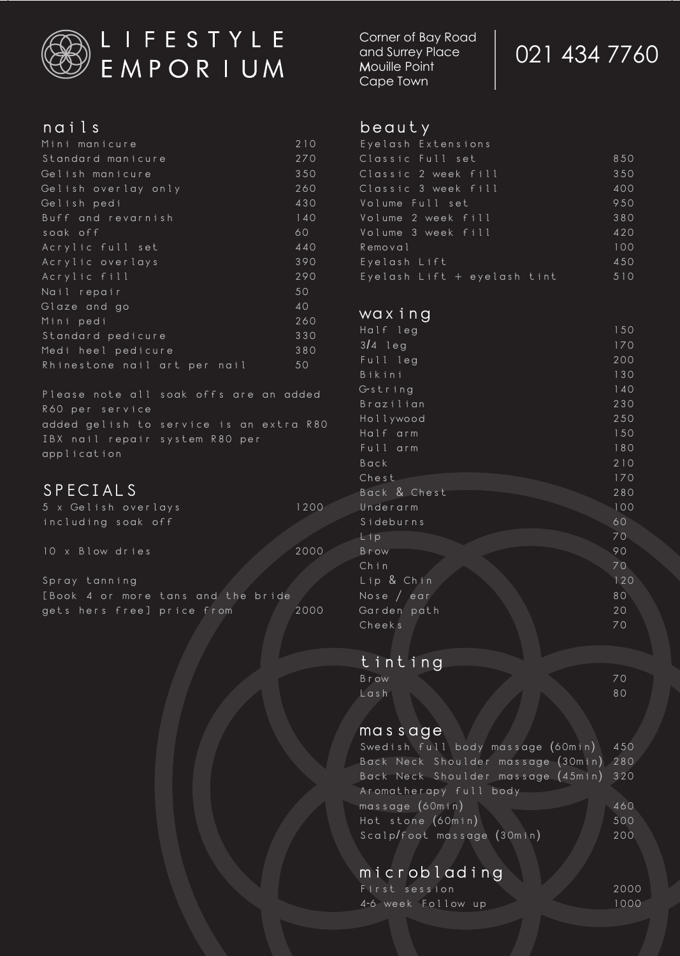

# L I F E S T Y L E<br>E M P O R I U M

#### nails

| Mini manicure                | 210 |
|------------------------------|-----|
| Standard manicure            | 270 |
| Gelish manicure              | 350 |
| Gelish overlay only          | 260 |
| Gelish pedi                  | 430 |
| Buff and revarnish           | 140 |
| soak off                     | 60  |
| Acrylic full set             | 440 |
| Acrylic overlays             | 390 |
| Acrylic fill                 | 290 |
| Nail repair                  | 50  |
| Glaze and go                 | 40  |
| Mini pedi                    | 260 |
| Standard pedicure            | 330 |
| Medi heel pedicure           | 380 |
| Rhinestone nail art per nail | 50  |
|                              |     |

Please note all soak offs are an added R60 per service added gelish to service is an extra R80 IBX nail repair system R80 per application

# SPECIALS

|  |  | 5 x Gelish overlays | 1200 |  |
|--|--|---------------------|------|--|
|  |  | including soak off  |      |  |

10 x Blow dries 2000

Spray tanning [Book 4 or more tans and the bride gets hers free] price from 2000 Corner of Bay Road and Surrey Place Mouille Point Cape Town

# 021 434 7760

#### beauty

| Eyelash Extensions          |     |
|-----------------------------|-----|
| Classic Full set            | 850 |
| Classic 2 week fill         | 350 |
| Classic 3 week fill         | 400 |
| Volume Full set             | 950 |
| Volume 2 week fill          | 380 |
| Volume 3 week fill          | 420 |
| Removal                     | 100 |
| Eyelash Lift                | 450 |
| Eyelash Lift + eyelash tint | 510 |

# waxing

| Half leg     | 150             |
|--------------|-----------------|
| $3/4$ leg    | 170             |
| Full leg     | 200             |
| Bikini       | 130             |
| G-string     | 140             |
| Brazilian    | 230             |
| Hollywood    | 250             |
| Half arm     | 150             |
| Full arm     | 180             |
| Back         | 210             |
| Chest        | 170             |
| Back & Chest | 280             |
| Underarm     | 100             |
| Sideburns    | 60              |
| Lip          | 70 <sub>1</sub> |
| <b>Brow</b>  | 90              |
| Chin         | 70              |
| Lip & Chin   | 120             |
| Nose $/$ ear | 80              |
| Garden path  | 20              |
| Cheeks       | 70              |
|              |                 |

# tinting

| <b>Brow</b> |  | 70 |
|-------------|--|----|
| $L$ ash     |  | 80 |

#### massage

| Swedish full body massage (60min) 450  |     |
|----------------------------------------|-----|
| Back Neck Shoulder massage (30min) 280 |     |
| Back Neck Shoulder massage (45min) 320 |     |
| Aromatherapy full body                 |     |
| massage (60min)                        | 460 |
| Hot stone (60min)                      | 500 |
| Scalp/foot massage (30min)             | 200 |

# microblading

| First session      |  | 2000 |
|--------------------|--|------|
| 4-6 week Follow up |  | 1000 |